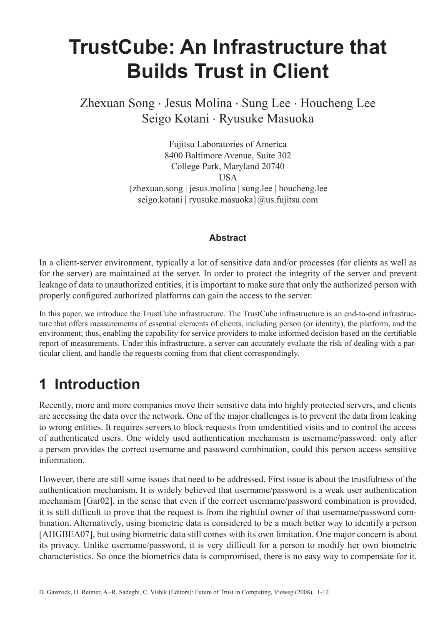# **TrustCube: An Infrastructure that Builds Trust in Client**

Zhexuan Song ⋅ Jesus Molina ⋅ Sung Lee ⋅ Houcheng Lee Seigo Kotani ⋅ Ryusuke Masuoka

> Fujitsu Laboratories of America 8400 Baltimore Avenue, Suite 302 College Park, Maryland 20740 USA {zhexuan.song | jesus.molina | sung.lee | houcheng.lee seigo.kotani | ryusuke.masuoka}@us.fujitsu.com

#### **Abstract**

In a client-server environment, typically a lot of sensitive data and/or processes (for clients as well as for the server) are maintained at the server. In order to protect the integrity of the server and prevent leakage of data to unauthorized entities, it is important to make sure that only the authorized person with properly configured authorized platforms can gain the access to the server.

In this paper, we introduce the TrustCube infrastructure. The TrustCube infrastructure is an end-to-end infrastructure that offers measurements of essential elements of clients, including person (or identity), the platform, and the environment; thus, enabling the capability for service providers to make informed decision based on the certifiable report of measurements. Under this infrastructure, a server can accurately evaluate the risk of dealing with a particular client, and handle the requests coming from that client correspondingly.

### **1 Introduction**

Recently, more and more companies move their sensitive data into highly protected servers, and clients are accessing the data over the network. One of the major challenges is to prevent the data from leaking to wrong entities. It requires servers to block requests from unidentified visits and to control the access of authenticated users. One widely used authentication mechanism is username/password: only after a person provides the correct username and password combination, could this person access sensitive information.

However, there are still some issues that need to be addressed. First issue is about the trustfulness of the authentication mechanism. It is widely believed that username/password is a weak user authentication mechanism [Gar02], in the sense that even if the correct username/password combination is provided, it is still difficult to prove that the request is from the rightful owner of that username/password combination. Alternatively, using biometric data is considered to be a much better way to identify a person [AHGBEA07], but using biometric data still comes with its own limitation. One major concern is about its privacy. Unlike username/password, it is very difficult for a person to modify her own biometric characteristics. So once the biometrics data is compromised, there is no easy way to compensate for it.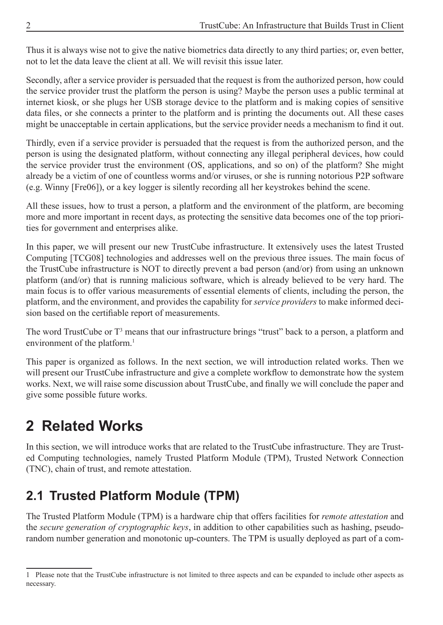Thus it is always wise not to give the native biometrics data directly to any third parties; or, even better, not to let the data leave the client at all. We will revisit this issue later.

Secondly, after a service provider is persuaded that the request is from the authorized person, how could the service provider trust the platform the person is using? Maybe the person uses a public terminal at internet kiosk, or she plugs her USB storage device to the platform and is making copies of sensitive data files, or she connects a printer to the platform and is printing the documents out. All these cases might be unacceptable in certain applications, but the service provider needs a mechanism to find it out.

Thirdly, even if a service provider is persuaded that the request is from the authorized person, and the person is using the designated platform, without connecting any illegal peripheral devices, how could the service provider trust the environment (OS, applications, and so on) of the platform? She might already be a victim of one of countless worms and/or viruses, or she is running notorious P2P software (e.g. Winny [Fre06]), or a key logger is silently recording all her keystrokes behind the scene.

All these issues, how to trust a person, a platform and the environment of the platform, are becoming more and more important in recent days, as protecting the sensitive data becomes one of the top priorities for government and enterprises alike.

In this paper, we will present our new TrustCube infrastructure. It extensively uses the latest Trusted Computing [TCG08] technologies and addresses well on the previous three issues. The main focus of the TrustCube infrastructure is NOT to directly prevent a bad person (and/or) from using an unknown platform (and/or) that is running malicious software, which is already believed to be very hard. The main focus is to offer various measurements of essential elements of clients, including the person, the platform, and the environment, and provides the capability for *service providers* to make informed decision based on the certifiable report of measurements.

The word TrustCube or  $T<sup>3</sup>$  means that our infrastructure brings "trust" back to a person, a platform and environment of the platform.<sup>1</sup>

This paper is organized as follows. In the next section, we will introduction related works. Then we will present our TrustCube infrastructure and give a complete workflow to demonstrate how the system works. Next, we will raise some discussion about TrustCube, and finally we will conclude the paper and give some possible future works.

## **2 Related Works**

In this section, we will introduce works that are related to the TrustCube infrastructure. They are Trusted Computing technologies, namely Trusted Platform Module (TPM), Trusted Network Connection (TNC), chain of trust, and remote attestation.

### **2.1 Trusted Platform Module (TPM)**

The Trusted Platform Module (TPM) is a hardware chip that offers facilities for *remote attestation* and the *secure generation of cryptographic keys*, in addition to other capabilities such as hashing, pseudorandom number generation and monotonic up-counters. The TPM is usually deployed as part of a com-

<sup>1</sup> Please note that the TrustCube infrastructure is not limited to three aspects and can be expanded to include other aspects as necessary.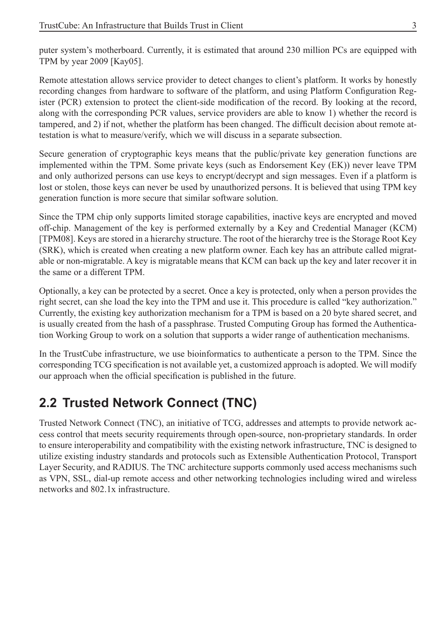puter system's motherboard. Currently, it is estimated that around 230 million PCs are equipped with TPM by year 2009 [Kay05].

Remote attestation allows service provider to detect changes to client's platform. It works by honestly recording changes from hardware to software of the platform, and using Platform Configuration Register (PCR) extension to protect the client-side modification of the record. By looking at the record, along with the corresponding PCR values, service providers are able to know 1) whether the record is tampered, and 2) if not, whether the platform has been changed. The difficult decision about remote attestation is what to measure/verify, which we will discuss in a separate subsection.

Secure generation of cryptographic keys means that the public/private key generation functions are implemented within the TPM. Some private keys (such as Endorsement Key (EK)) never leave TPM and only authorized persons can use keys to encrypt/decrypt and sign messages. Even if a platform is lost or stolen, those keys can never be used by unauthorized persons. It is believed that using TPM key generation function is more secure that similar software solution.

Since the TPM chip only supports limited storage capabilities, inactive keys are encrypted and moved off-chip. Management of the key is performed externally by a Key and Credential Manager (KCM) [TPM08]. Keys are stored in a hierarchy structure. The root of the hierarchy tree is the Storage Root Key (SRK), which is created when creating a new platform owner. Each key has an attribute called migratable or non-migratable. A key is migratable means that KCM can back up the key and later recover it in the same or a different TPM.

Optionally, a key can be protected by a secret. Once a key is protected, only when a person provides the right secret, can she load the key into the TPM and use it. This procedure is called "key authorization." Currently, the existing key authorization mechanism for a TPM is based on a 20 byte shared secret, and is usually created from the hash of a passphrase. Trusted Computing Group has formed the Authentication Working Group to work on a solution that supports a wider range of authentication mechanisms.

In the TrustCube infrastructure, we use bioinformatics to authenticate a person to the TPM. Since the corresponding TCG specification is not available yet, a customized approach is adopted. We will modify our approach when the official specification is published in the future.

### **2.2 Trusted Network Connect (TNC)**

Trusted Network Connect (TNC), an initiative of TCG, addresses and attempts to provide network access control that meets security requirements through open-source, non-proprietary standards. In order to ensure interoperability and compatibility with the existing network infrastructure, TNC is designed to utilize existing industry standards and protocols such as Extensible Authentication Protocol, Transport Layer Security, and RADIUS. The TNC architecture supports commonly used access mechanisms such as VPN, SSL, dial-up remote access and other networking technologies including wired and wireless networks and 802.1x infrastructure.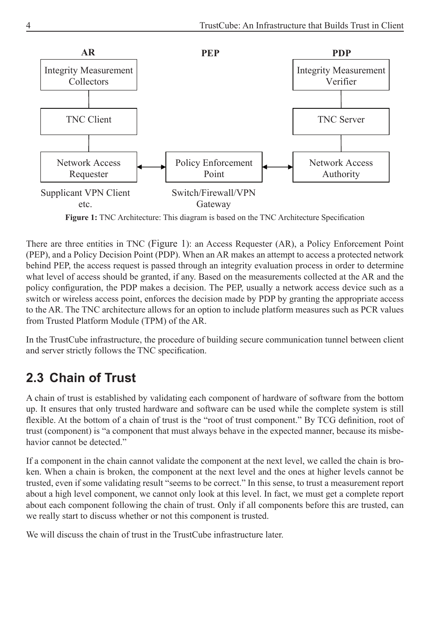

**Figure 1:** TNC Architecture: This diagram is based on the TNC Architecture Specification

There are three entities in TNC (Figure 1): an Access Requester (AR), a Policy Enforcement Point (PEP), and a Policy Decision Point (PDP). When an AR makes an attempt to access a protected network behind PEP, the access request is passed through an integrity evaluation process in order to determine what level of access should be granted, if any. Based on the measurements collected at the AR and the policy configuration, the PDP makes a decision. The PEP, usually a network access device such as a switch or wireless access point, enforces the decision made by PDP by granting the appropriate access to the AR. The TNC architecture allows for an option to include platform measures such as PCR values from Trusted Platform Module (TPM) of the AR.

In the TrustCube infrastructure, the procedure of building secure communication tunnel between client and server strictly follows the TNC specification.

### **2.3 Chain of Trust**

A chain of trust is established by validating each component of hardware of software from the bottom up. It ensures that only trusted hardware and software can be used while the complete system is still flexible. At the bottom of a chain of trust is the "root of trust component." By TCG definition, root of trust (component) is "a component that must always behave in the expected manner, because its misbehavior cannot be detected."

If a component in the chain cannot validate the component at the next level, we called the chain is broken. When a chain is broken, the component at the next level and the ones at higher levels cannot be trusted, even if some validating result "seems to be correct." In this sense, to trust a measurement report about a high level component, we cannot only look at this level. In fact, we must get a complete report about each component following the chain of trust. Only if all components before this are trusted, can we really start to discuss whether or not this component is trusted.

We will discuss the chain of trust in the TrustCube infrastructure later.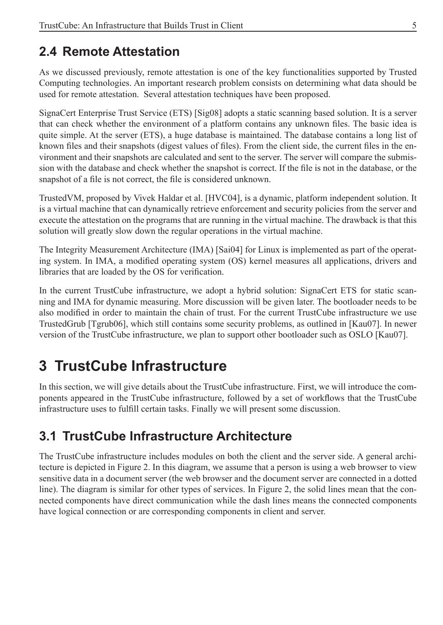### **2.4 Remote Attestation**

As we discussed previously, remote attestation is one of the key functionalities supported by Trusted Computing technologies. An important research problem consists on determining what data should be used for remote attestation. Several attestation techniques have been proposed.

SignaCert Enterprise Trust Service (ETS) [Sig08] adopts a static scanning based solution. It is a server that can check whether the environment of a platform contains any unknown files. The basic idea is quite simple. At the server (ETS), a huge database is maintained. The database contains a long list of known files and their snapshots (digest values of files). From the client side, the current files in the environment and their snapshots are calculated and sent to the server. The server will compare the submission with the database and check whether the snapshot is correct. If the file is not in the database, or the snapshot of a file is not correct, the file is considered unknown.

TrustedVM, proposed by Vivek Haldar et al. [HVC04], is a dynamic, platform independent solution. It is a virtual machine that can dynamically retrieve enforcement and security policies from the server and execute the attestation on the programs that are running in the virtual machine. The drawback is that this solution will greatly slow down the regular operations in the virtual machine.

The Integrity Measurement Architecture (IMA) [Sai04] for Linux is implemented as part of the operating system. In IMA, a modified operating system (OS) kernel measures all applications, drivers and libraries that are loaded by the OS for verification.

In the current TrustCube infrastructure, we adopt a hybrid solution: SignaCert ETS for static scanning and IMA for dynamic measuring. More discussion will be given later. The bootloader needs to be also modified in order to maintain the chain of trust. For the current TrustCube infrastructure we use TrustedGrub [Tgrub06], which still contains some security problems, as outlined in [Kau07]. In newer version of the TrustCube infrastructure, we plan to support other bootloader such as OSLO [Kau07].

# **3 TrustCube Infrastructure**

In this section, we will give details about the TrustCube infrastructure. First, we will introduce the components appeared in the TrustCube infrastructure, followed by a set of workflows that the TrustCube infrastructure uses to fulfill certain tasks. Finally we will present some discussion.

### **3.1 TrustCube Infrastructure Architecture**

The TrustCube infrastructure includes modules on both the client and the server side. A general architecture is depicted in Figure 2. In this diagram, we assume that a person is using a web browser to view sensitive data in a document server (the web browser and the document server are connected in a dotted line). The diagram is similar for other types of services. In Figure 2, the solid lines mean that the connected components have direct communication while the dash lines means the connected components have logical connection or are corresponding components in client and server.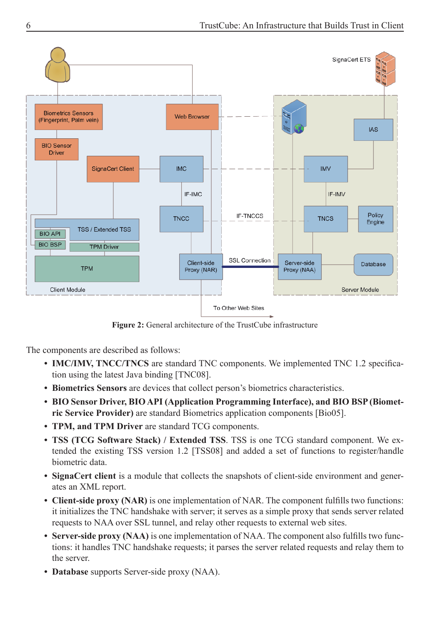

**Figure 2:** General architecture of the TrustCube infrastructure

The components are described as follows:

- **IMC/IMV, TNCC/TNCS** are standard TNC components. We implemented TNC 1.2 specification using the latest Java binding [TNC08].
- **• Biometrics Sensors** are devices that collect person's biometrics characteristics.
- **• BIO Sensor Driver, BIO API (Application Programming Interface), and BIO BSP (Biometric Service Provider)** are standard Biometrics application components [Bio05].
- **• TPM, and TPM Driver** are standard TCG components.
- **TSS (TCG Software Stack) / Extended TSS**. TSS is one TCG standard component. We extended the existing TSS version 1.2 [TSS08] and added a set of functions to register/handle biometric data.
- **SignaCert client** is a module that collects the snapshots of client-side environment and generates an XML report.
- **• Client-side proxy (NAR)** is one implementation of NAR. The component fulfills two functions: it initializes the TNC handshake with server; it serves as a simple proxy that sends server related requests to NAA over SSL tunnel, and relay other requests to external web sites.
- **Server-side proxy (NAA)** is one implementation of NAA. The component also fulfills two functions: it handles TNC handshake requests; it parses the server related requests and relay them to the server.
- **• Database** supports Server-side proxy (NAA).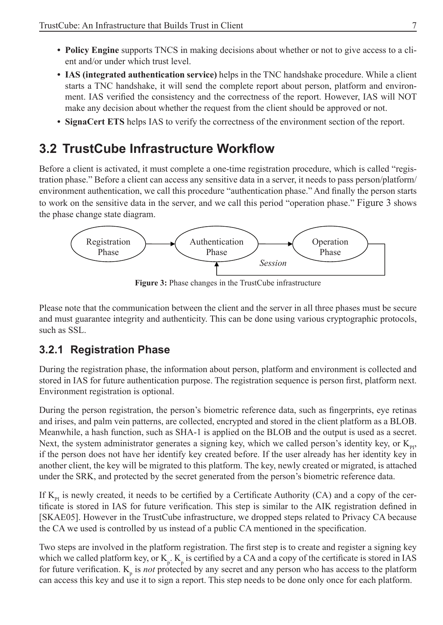- Policy Engine supports TNCS in making decisions about whether or not to give access to a client and/or under which trust level.
- **• IAS (integrated authentication service)** helps in the TNC handshake procedure. While a client starts a TNC handshake, it will send the complete report about person, platform and environment. IAS verified the consistency and the correctness of the report. However, IAS will NOT make any decision about whether the request from the client should be approved or not.
- **SignaCert ETS** helps IAS to verify the correctness of the environment section of the report.

### **3.2 TrustCube Infrastructure Workflow**

Before a client is activated, it must complete a one-time registration procedure, which is called "registration phase." Before a client can access any sensitive data in a server, it needs to pass person/platform/ environment authentication, we call this procedure "authentication phase." And finally the person starts to work on the sensitive data in the server, and we call this period "operation phase." Figure 3 shows the phase change state diagram.



**Figure 3:** Phase changes in the TrustCube infrastructure

Please note that the communication between the client and the server in all three phases must be secure and must guarantee integrity and authenticity. This can be done using various cryptographic protocols, such as SSL.

#### **3.2.1 Registration Phase**

During the registration phase, the information about person, platform and environment is collected and stored in IAS for future authentication purpose. The registration sequence is person first, platform next. Environment registration is optional.

During the person registration, the person's biometric reference data, such as fingerprints, eye retinas and irises, and palm vein patterns, are collected, encrypted and stored in the client platform as a BLOB. Meanwhile, a hash function, such as SHA-1 is applied on the BLOB and the output is used as a secret. Next, the system administrator generates a signing key, which we called person's identity key, or  $K_{p1}$ , if the person does not have her identify key created before. If the user already has her identity key in another client, the key will be migrated to this platform. The key, newly created or migrated, is attached under the SRK, and protected by the secret generated from the person's biometric reference data.

If  $K_{pI}$  is newly created, it needs to be certified by a Certificate Authority (CA) and a copy of the certificate is stored in IAS for future verification. This step is similar to the AIK registration defined in [SKAE05]. However in the TrustCube infrastructure, we dropped steps related to Privacy CA because the CA we used is controlled by us instead of a public CA mentioned in the specification.

Two steps are involved in the platform registration. The first step is to create and register a signing key which we called platform key, or  $K_p$ .  $K_p$  is certified by a CA and a copy of the certificate is stored in IAS for future verification.  $K_p$  is *not* protected by any secret and any person who has access to the platform can access this key and use it to sign a report. This step needs to be done only once for each platform.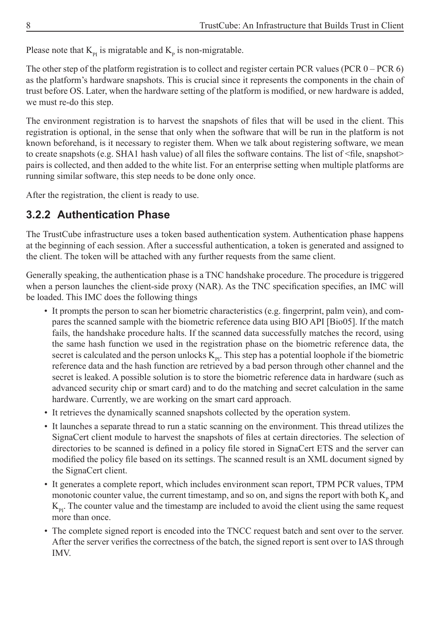Please note that  $K_{PI}$  is migratable and  $K_{PI}$  is non-migratable.

The other step of the platform registration is to collect and register certain PCR values (PCR  $0 - PCR$  6) as the platform's hardware snapshots. This is crucial since it represents the components in the chain of trust before OS. Later, when the hardware setting of the platform is modified, or new hardware is added, we must re-do this step.

The environment registration is to harvest the snapshots of files that will be used in the client. This registration is optional, in the sense that only when the software that will be run in the platform is not known beforehand, is it necessary to register them. When we talk about registering software, we mean to create snapshots (e.g. SHA1 hash value) of all files the software contains. The list of <file, snapshot> pairs is collected, and then added to the white list. For an enterprise setting when multiple platforms are running similar software, this step needs to be done only once.

After the registration, the client is ready to use.

#### **3.2.2 Authentication Phase**

The TrustCube infrastructure uses a token based authentication system. Authentication phase happens at the beginning of each session. After a successful authentication, a token is generated and assigned to the client. The token will be attached with any further requests from the same client.

Generally speaking, the authentication phase is a TNC handshake procedure. The procedure is triggered when a person launches the client-side proxy (NAR). As the TNC specification specifies, an IMC will be loaded. This IMC does the following things

- It prompts the person to scan her biometric characteristics (e.g. fingerprint, palm vein), and compares the scanned sample with the biometric reference data using BIO API [Bio05]. If the match fails, the handshake procedure halts. If the scanned data successfully matches the record, using the same hash function we used in the registration phase on the biometric reference data, the secret is calculated and the person unlocks  $K_{\text{PI}}$ . This step has a potential loophole if the biometric reference data and the hash function are retrieved by a bad person through other channel and the secret is leaked. A possible solution is to store the biometric reference data in hardware (such as advanced security chip or smart card) and to do the matching and secret calculation in the same hardware. Currently, we are working on the smart card approach.
- It retrieves the dynamically scanned snapshots collected by the operation system.
- It launches a separate thread to run a static scanning on the environment. This thread utilizes the SignaCert client module to harvest the snapshots of files at certain directories. The selection of directories to be scanned is defined in a policy file stored in SignaCert ETS and the server can modified the policy file based on its settings. The scanned result is an XML document signed by the SignaCert client.
- It generates a complete report, which includes environment scan report, TPM PCR values, TPM monotonic counter value, the current timestamp, and so on, and signs the report with both  $K_{p}$  and  $K_{\text{p1}}$ . The counter value and the timestamp are included to avoid the client using the same request more than once.
- The complete signed report is encoded into the TNCC request batch and sent over to the server. After the server verifies the correctness of the batch, the signed report is sent over to IAS through IMV.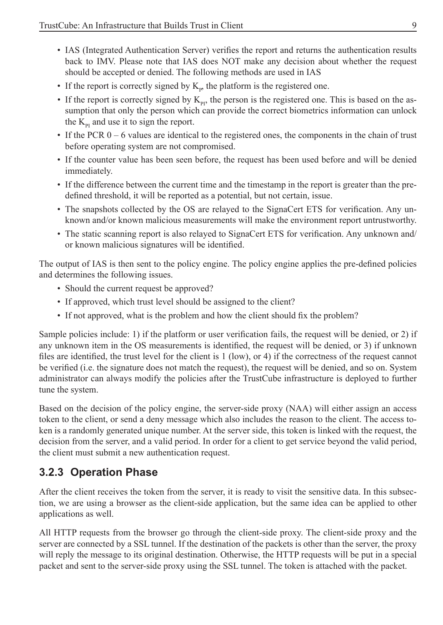- IAS (Integrated Authentication Server) verifies the report and returns the authentication results back to IMV. Please note that IAS does NOT make any decision about whether the request should be accepted or denied. The following methods are used in IAS
- If the report is correctly signed by  $K_{p}$ , the platform is the registered one.
- If the report is correctly signed by  $K_{p1}$ , the person is the registered one. This is based on the assumption that only the person which can provide the correct biometrics information can unlock the  $K_{pr}$  and use it to sign the report.
- If the PCR 0 6 values are identical to the registered ones, the components in the chain of trust before operating system are not compromised.
- If the counter value has been seen before, the request has been used before and will be denied immediately.
- If the difference between the current time and the timestamp in the report is greater than the predefined threshold, it will be reported as a potential, but not certain, issue.
- The snapshots collected by the OS are relayed to the SignaCert ETS for verification. Any unknown and/or known malicious measurements will make the environment report untrustworthy.
- The static scanning report is also relayed to SignaCert ETS for verification. Any unknown and/ or known malicious signatures will be identified.

The output of IAS is then sent to the policy engine. The policy engine applies the pre-defined policies and determines the following issues.

- Should the current request be approved?
- If approved, which trust level should be assigned to the client?
- If not approved, what is the problem and how the client should fix the problem?

Sample policies include: 1) if the platform or user verification fails, the request will be denied, or 2) if any unknown item in the OS measurements is identified, the request will be denied, or 3) if unknown files are identified, the trust level for the client is 1 (low), or 4) if the correctness of the request cannot be verified (i.e. the signature does not match the request), the request will be denied, and so on. System administrator can always modify the policies after the TrustCube infrastructure is deployed to further tune the system.

Based on the decision of the policy engine, the server-side proxy (NAA) will either assign an access token to the client, or send a deny message which also includes the reason to the client. The access token is a randomly generated unique number. At the server side, this token is linked with the request, the decision from the server, and a valid period. In order for a client to get service beyond the valid period, the client must submit a new authentication request.

#### **3.2.3 Operation Phase**

After the client receives the token from the server, it is ready to visit the sensitive data. In this subsection, we are using a browser as the client-side application, but the same idea can be applied to other applications as well.

All HTTP requests from the browser go through the client-side proxy. The client-side proxy and the server are connected by a SSL tunnel. If the destination of the packets is other than the server, the proxy will reply the message to its original destination. Otherwise, the HTTP requests will be put in a special packet and sent to the server-side proxy using the SSL tunnel. The token is attached with the packet.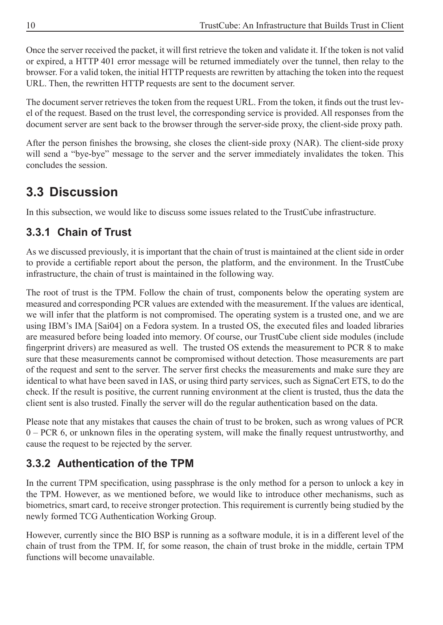Once the server received the packet, it will first retrieve the token and validate it. If the token is not valid or expired, a HTTP 401 error message will be returned immediately over the tunnel, then relay to the browser. For a valid token, the initial HTTP requests are rewritten by attaching the token into the request URL. Then, the rewritten HTTP requests are sent to the document server.

The document server retrieves the token from the request URL. From the token, it finds out the trust level of the request. Based on the trust level, the corresponding service is provided. All responses from the document server are sent back to the browser through the server-side proxy, the client-side proxy path.

After the person finishes the browsing, she closes the client-side proxy (NAR). The client-side proxy will send a "bye-bye" message to the server and the server immediately invalidates the token. This concludes the session.

### **3.3 Discussion**

In this subsection, we would like to discuss some issues related to the TrustCube infrastructure.

#### **3.3.1 Chain of Trust**

As we discussed previously, it is important that the chain of trust is maintained at the client side in order to provide a certifiable report about the person, the platform, and the environment. In the TrustCube infrastructure, the chain of trust is maintained in the following way.

The root of trust is the TPM. Follow the chain of trust, components below the operating system are measured and corresponding PCR values are extended with the measurement. If the values are identical, we will infer that the platform is not compromised. The operating system is a trusted one, and we are using IBM's IMA [Sai04] on a Fedora system. In a trusted OS, the executed files and loaded libraries are measured before being loaded into memory. Of course, our TrustCube client side modules (include fingerprint drivers) are measured as well. The trusted OS extends the measurement to PCR 8 to make sure that these measurements cannot be compromised without detection. Those measurements are part of the request and sent to the server. The server first checks the measurements and make sure they are identical to what have been saved in IAS, or using third party services, such as SignaCert ETS, to do the check. If the result is positive, the current running environment at the client is trusted, thus the data the client sent is also trusted. Finally the server will do the regular authentication based on the data.

Please note that any mistakes that causes the chain of trust to be broken, such as wrong values of PCR  $0 - PCR$  6, or unknown files in the operating system, will make the finally request untrustworthy, and cause the request to be rejected by the server.

#### **3.3.2 Authentication of the TPM**

In the current TPM specification, using passphrase is the only method for a person to unlock a key in the TPM. However, as we mentioned before, we would like to introduce other mechanisms, such as biometrics, smart card, to receive stronger protection. This requirement is currently being studied by the newly formed TCG Authentication Working Group.

However, currently since the BIO BSP is running as a software module, it is in a different level of the chain of trust from the TPM. If, for some reason, the chain of trust broke in the middle, certain TPM functions will become unavailable.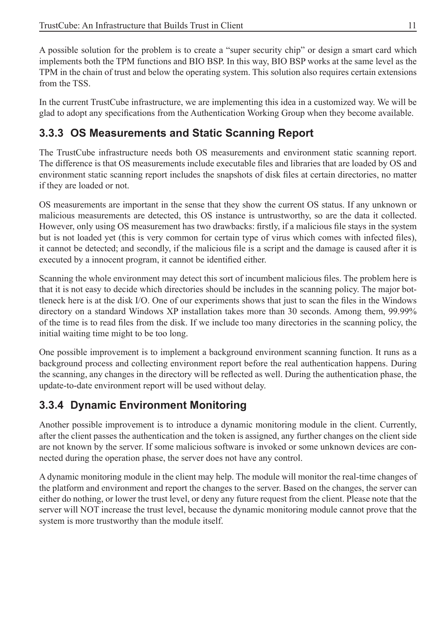A possible solution for the problem is to create a "super security chip" or design a smart card which implements both the TPM functions and BIO BSP. In this way, BIO BSP works at the same level as the TPM in the chain of trust and below the operating system. This solution also requires certain extensions from the TSS.

In the current TrustCube infrastructure, we are implementing this idea in a customized way. We will be glad to adopt any specifications from the Authentication Working Group when they become available.

#### **3.3.3 OS Measurements and Static Scanning Report**

The TrustCube infrastructure needs both OS measurements and environment static scanning report. The difference is that OS measurements include executable files and libraries that are loaded by OS and environment static scanning report includes the snapshots of disk files at certain directories, no matter if they are loaded or not.

OS measurements are important in the sense that they show the current OS status. If any unknown or malicious measurements are detected, this OS instance is untrustworthy, so are the data it collected. However, only using OS measurement has two drawbacks: firstly, if a malicious file stays in the system but is not loaded yet (this is very common for certain type of virus which comes with infected files), it cannot be detected; and secondly, if the malicious file is a script and the damage is caused after it is executed by a innocent program, it cannot be identified either.

Scanning the whole environment may detect this sort of incumbent malicious files. The problem here is that it is not easy to decide which directories should be includes in the scanning policy. The major bottleneck here is at the disk I/O. One of our experiments shows that just to scan the files in the Windows directory on a standard Windows XP installation takes more than 30 seconds. Among them, 99.99% of the time is to read files from the disk. If we include too many directories in the scanning policy, the initial waiting time might to be too long.

One possible improvement is to implement a background environment scanning function. It runs as a background process and collecting environment report before the real authentication happens. During the scanning, any changes in the directory will be reflected as well. During the authentication phase, the update-to-date environment report will be used without delay.

#### **3.3.4 Dynamic Environment Monitoring**

Another possible improvement is to introduce a dynamic monitoring module in the client. Currently, after the client passes the authentication and the token is assigned, any further changes on the client side are not known by the server. If some malicious software is invoked or some unknown devices are connected during the operation phase, the server does not have any control.

A dynamic monitoring module in the client may help. The module will monitor the real-time changes of the platform and environment and report the changes to the server. Based on the changes, the server can either do nothing, or lower the trust level, or deny any future request from the client. Please note that the server will NOT increase the trust level, because the dynamic monitoring module cannot prove that the system is more trustworthy than the module itself.